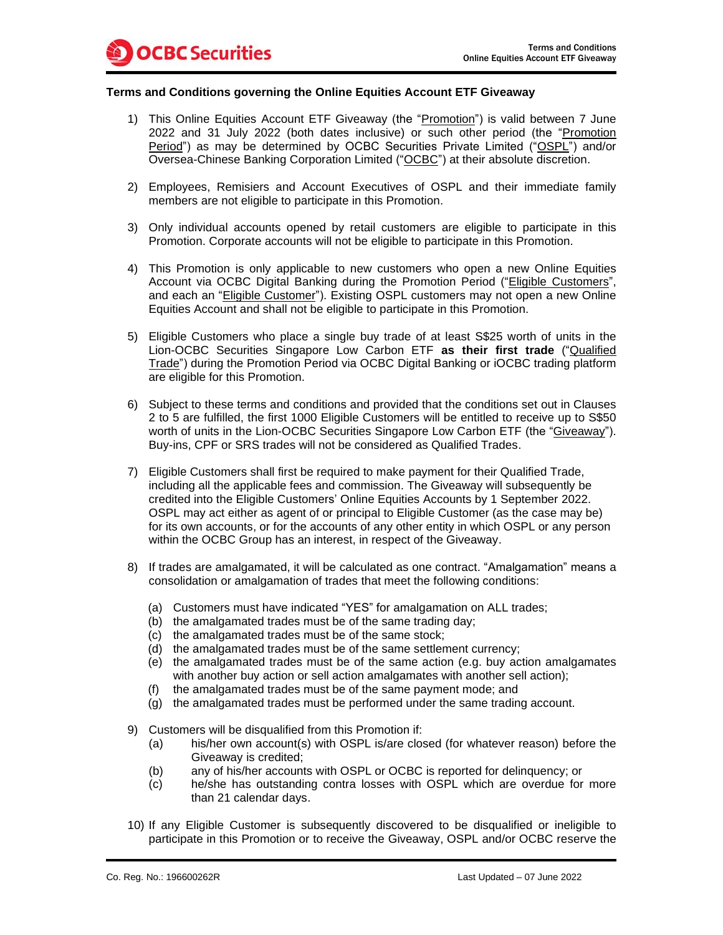## **Terms and Conditions governing the Online Equities Account ETF Giveaway**

- 1) This Online Equities Account ETF Giveaway (the "Promotion") is valid between 7 June 2022 and 31 July 2022 (both dates inclusive) or such other period (the "Promotion Period") as may be determined by OCBC Securities Private Limited ("OSPL") and/or Oversea-Chinese Banking Corporation Limited ("OCBC") at their absolute discretion.
- 2) Employees, Remisiers and Account Executives of OSPL and their immediate family members are not eligible to participate in this Promotion.
- 3) Only individual accounts opened by retail customers are eligible to participate in this Promotion. Corporate accounts will not be eligible to participate in this Promotion.
- 4) This Promotion is only applicable to new customers who open a new Online Equities Account via OCBC Digital Banking during the Promotion Period ("Eligible Customers", and each an "Eligible Customer"). Existing OSPL customers may not open a new Online Equities Account and shall not be eligible to participate in this Promotion.
- 5) Eligible Customers who place a single buy trade of at least S\$25 worth of units in the Lion-OCBC Securities Singapore Low Carbon ETF **as their first trade** ("Qualified Trade") during the Promotion Period via OCBC Digital Banking or iOCBC trading platform are eligible for this Promotion.
- 6) Subject to these terms and conditions and provided that the conditions set out in Clauses 2 to 5 are fulfilled, the first 1000 Eligible Customers will be entitled to receive up to S\$50 worth of units in the Lion-OCBC Securities Singapore Low Carbon ETF (the "Giveaway"). Buy-ins, CPF or SRS trades will not be considered as Qualified Trades.
- 7) Eligible Customers shall first be required to make payment for their Qualified Trade, including all the applicable fees and commission. The Giveaway will subsequently be credited into the Eligible Customers' Online Equities Accounts by 1 September 2022. OSPL may act either as agent of or principal to Eligible Customer (as the case may be) for its own accounts, or for the accounts of any other entity in which OSPL or any person within the OCBC Group has an interest, in respect of the Giveaway.
- 8) If trades are amalgamated, it will be calculated as one contract. "Amalgamation" means a consolidation or amalgamation of trades that meet the following conditions:
	- (a) Customers must have indicated "YES" for amalgamation on ALL trades;
	- (b) the amalgamated trades must be of the same trading day;
	- (c) the amalgamated trades must be of the same stock;
	- (d) the amalgamated trades must be of the same settlement currency;
	- (e) the amalgamated trades must be of the same action (e.g. buy action amalgamates with another buy action or sell action amalgamates with another sell action);
	- (f) the amalgamated trades must be of the same payment mode; and
	- (g) the amalgamated trades must be performed under the same trading account.
- 9) Customers will be disqualified from this Promotion if:
	- (a) his/her own account(s) with OSPL is/are closed (for whatever reason) before the Giveaway is credited;
	- (b) any of his/her accounts with OSPL or OCBC is reported for delinquency; or
	- (c) he/she has outstanding contra losses with OSPL which are overdue for more than 21 calendar days.
- 10) If any Eligible Customer is subsequently discovered to be disqualified or ineligible to participate in this Promotion or to receive the Giveaway, OSPL and/or OCBC reserve the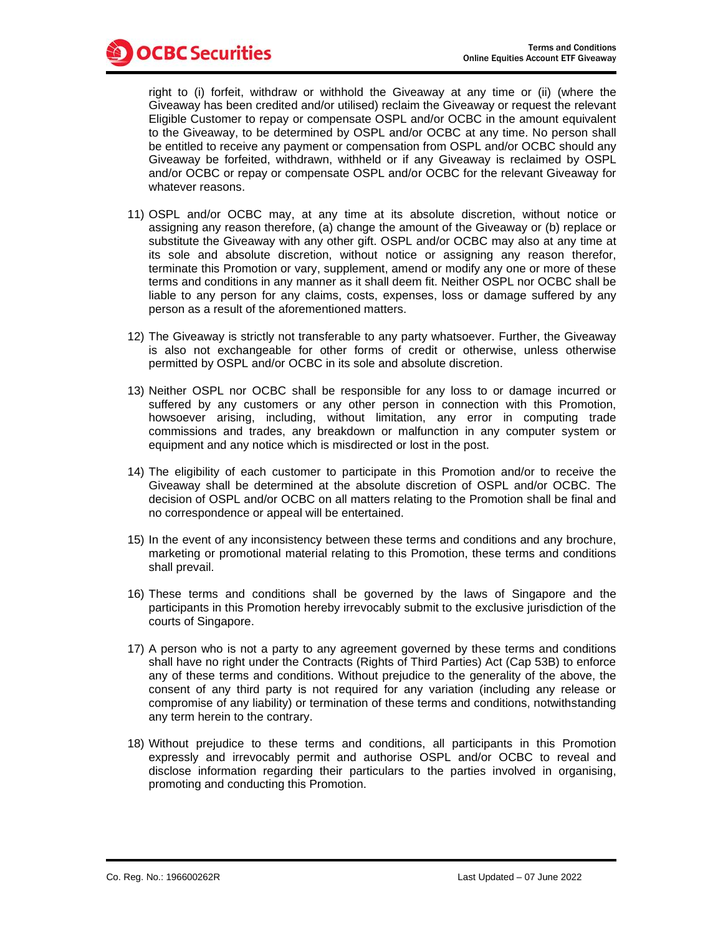right to (i) forfeit, withdraw or withhold the Giveaway at any time or (ii) (where the Giveaway has been credited and/or utilised) reclaim the Giveaway or request the relevant Eligible Customer to repay or compensate OSPL and/or OCBC in the amount equivalent to the Giveaway, to be determined by OSPL and/or OCBC at any time. No person shall be entitled to receive any payment or compensation from OSPL and/or OCBC should any Giveaway be forfeited, withdrawn, withheld or if any Giveaway is reclaimed by OSPL and/or OCBC or repay or compensate OSPL and/or OCBC for the relevant Giveaway for whatever reasons.

- 11) OSPL and/or OCBC may, at any time at its absolute discretion, without notice or assigning any reason therefore, (a) change the amount of the Giveaway or (b) replace or substitute the Giveaway with any other gift. OSPL and/or OCBC may also at any time at its sole and absolute discretion, without notice or assigning any reason therefor, terminate this Promotion or vary, supplement, amend or modify any one or more of these terms and conditions in any manner as it shall deem fit. Neither OSPL nor OCBC shall be liable to any person for any claims, costs, expenses, loss or damage suffered by any person as a result of the aforementioned matters.
- 12) The Giveaway is strictly not transferable to any party whatsoever. Further, the Giveaway is also not exchangeable for other forms of credit or otherwise, unless otherwise permitted by OSPL and/or OCBC in its sole and absolute discretion.
- 13) Neither OSPL nor OCBC shall be responsible for any loss to or damage incurred or suffered by any customers or any other person in connection with this Promotion, howsoever arising, including, without limitation, any error in computing trade commissions and trades, any breakdown or malfunction in any computer system or equipment and any notice which is misdirected or lost in the post.
- 14) The eligibility of each customer to participate in this Promotion and/or to receive the Giveaway shall be determined at the absolute discretion of OSPL and/or OCBC. The decision of OSPL and/or OCBC on all matters relating to the Promotion shall be final and no correspondence or appeal will be entertained.
- 15) In the event of any inconsistency between these terms and conditions and any brochure, marketing or promotional material relating to this Promotion, these terms and conditions shall prevail.
- 16) These terms and conditions shall be governed by the laws of Singapore and the participants in this Promotion hereby irrevocably submit to the exclusive jurisdiction of the courts of Singapore.
- 17) A person who is not a party to any agreement governed by these terms and conditions shall have no right under the Contracts (Rights of Third Parties) Act (Cap 53B) to enforce any of these terms and conditions. Without prejudice to the generality of the above, the consent of any third party is not required for any variation (including any release or compromise of any liability) or termination of these terms and conditions, notwithstanding any term herein to the contrary.
- 18) Without prejudice to these terms and conditions, all participants in this Promotion expressly and irrevocably permit and authorise OSPL and/or OCBC to reveal and disclose information regarding their particulars to the parties involved in organising, promoting and conducting this Promotion.